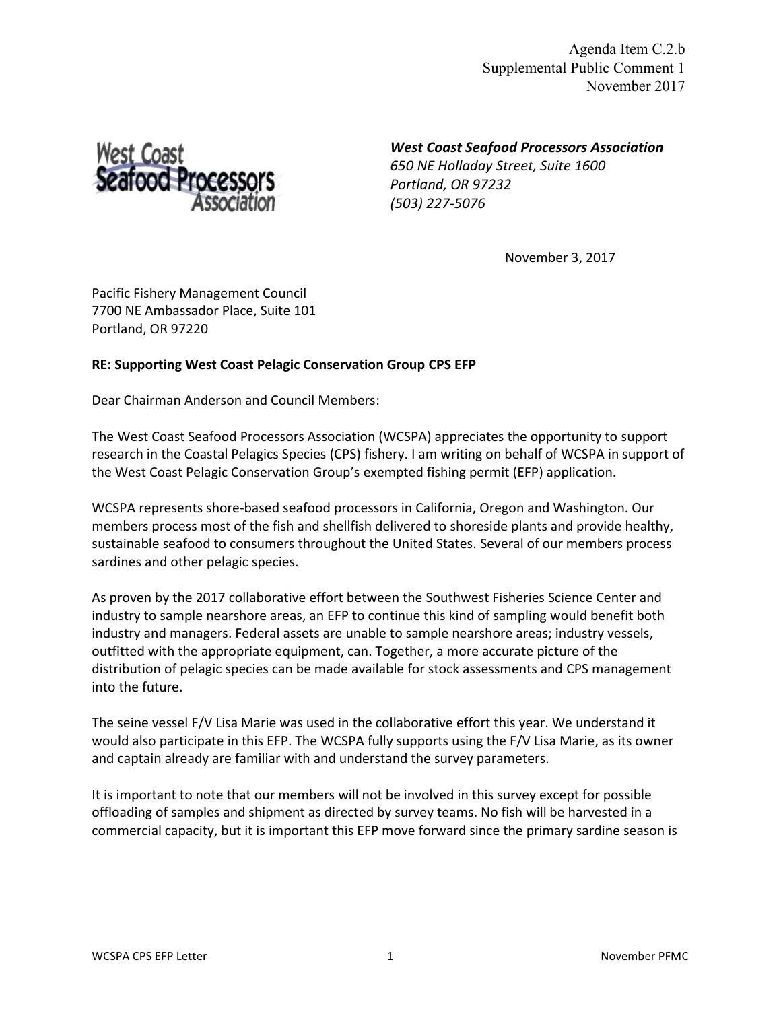Agenda Item C.2.b Supplemental Public Comment 1 November 2017

West Coast<br>Seafood Processors

*West Coast Seafood Processors Association 650 NE Holladay Street, Suite 1600 Portland, OR 97232 (503) 227-5076*

November 3, 2017

Pacific Fishery Management Council 7700 NE Ambassador Place, Suite 101 Portland, OR 97220

## **RE: Supporting West Coast Pelagic Conservation Group CPS EFP**

Dear Chairman Anderson and Council Members:

The West Coast Seafood Processors Association (WCSPA) appreciates the opportunity to support research in the Coastal Pelagics Species (CPS) fishery. I am writing on behalf of WCSPA in support of the West Coast Pelagic Conservation Group's exempted fishing permit (EFP) application.

WCSPA represents shore-based seafood processors in California, Oregon and Washington. Our members process most of the fish and shellfish delivered to shoreside plants and provide healthy, sustainable seafood to consumers throughout the United States. Several of our members process sardines and other pelagic species.

As proven by the 2017 collaborative effort between the Southwest Fisheries Science Center and industry to sample nearshore areas, an EFP to continue this kind of sampling would benefit both industry and managers. Federal assets are unable to sample nearshore areas; industry vessels, outfitted with the appropriate equipment, can. Together, a more accurate picture of the distribution of pelagic species can be made available for stock assessments and CPS management into the future.

The seine vessel F/V Lisa Marie was used in the collaborative effort this year. We understand it would also participate in this EFP. The WCSPA fully supports using the F/V Lisa Marie, as its owner and captain already are familiar with and understand the survey parameters.

It is important to note that our members will not be involved in this survey except for possible offloading of samples and shipment as directed by survey teams. No fish will be harvested in a commercial capacity, but it is important this EFP move forward since the primary sardine season is